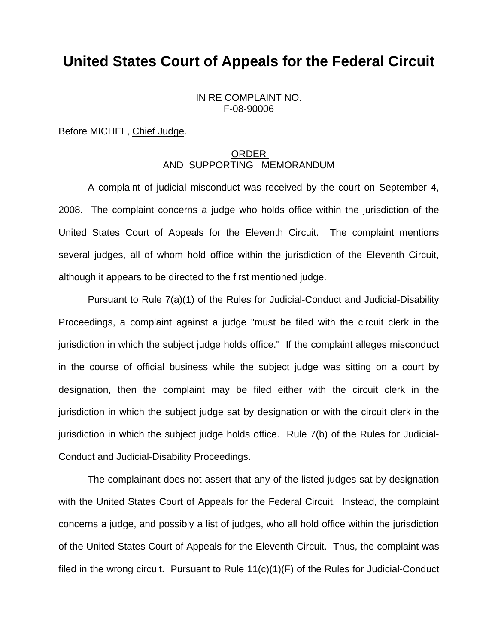## **United States Court of Appeals for the Federal Circuit**

IN RE COMPLAINT NO. F-08-90006

Before MICHEL, Chief Judge.

## ORDER AND SUPPORTING MEMORANDUM

 A complaint of judicial misconduct was received by the court on September 4, 2008. The complaint concerns a judge who holds office within the jurisdiction of the United States Court of Appeals for the Eleventh Circuit. The complaint mentions several judges, all of whom hold office within the jurisdiction of the Eleventh Circuit, although it appears to be directed to the first mentioned judge.

 Pursuant to Rule 7(a)(1) of the Rules for Judicial-Conduct and Judicial-Disability Proceedings, a complaint against a judge "must be filed with the circuit clerk in the jurisdiction in which the subject judge holds office." If the complaint alleges misconduct in the course of official business while the subject judge was sitting on a court by designation, then the complaint may be filed either with the circuit clerk in the jurisdiction in which the subject judge sat by designation or with the circuit clerk in the jurisdiction in which the subject judge holds office. Rule 7(b) of the Rules for Judicial-Conduct and Judicial-Disability Proceedings.

 The complainant does not assert that any of the listed judges sat by designation with the United States Court of Appeals for the Federal Circuit. Instead, the complaint concerns a judge, and possibly a list of judges, who all hold office within the jurisdiction of the United States Court of Appeals for the Eleventh Circuit. Thus, the complaint was filed in the wrong circuit. Pursuant to Rule 11(c)(1)(F) of the Rules for Judicial-Conduct